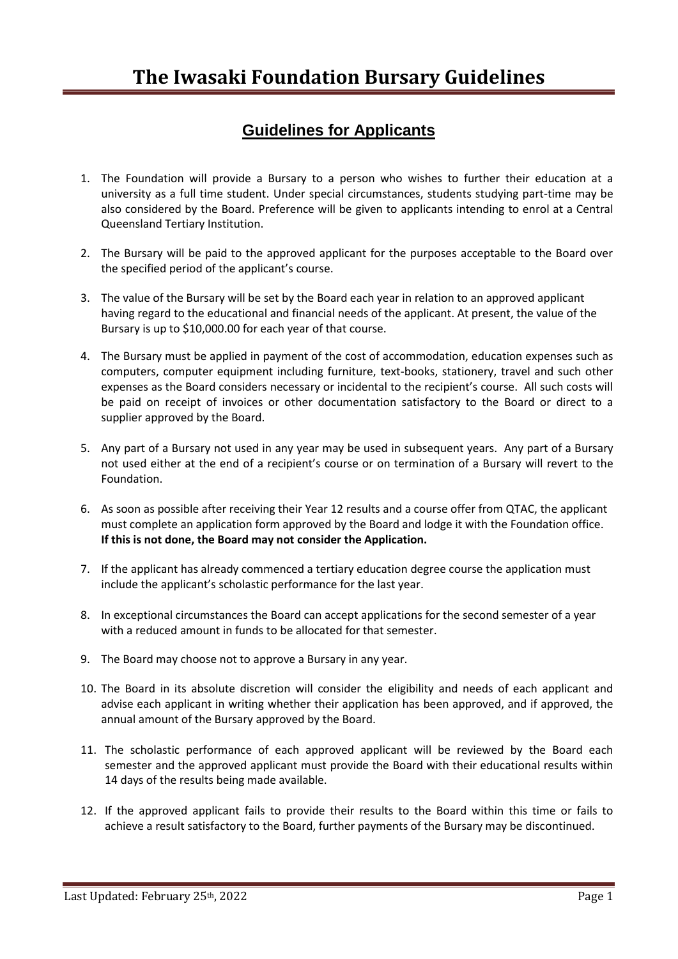## **Guidelines for Applicants**

- 1. The Foundation will provide a Bursary to a person who wishes to further their education at a university as a full time student. Under special circumstances, students studying part-time may be also considered by the Board. Preference will be given to applicants intending to enrol at a Central Queensland Tertiary Institution.
- 2. The Bursary will be paid to the approved applicant for the purposes acceptable to the Board over the specified period of the applicant's course.
- 3. The value of the Bursary will be set by the Board each year in relation to an approved applicant having regard to the educational and financial needs of the applicant. At present, the value of the Bursary is up to \$10,000.00 for each year of that course.
- 4. The Bursary must be applied in payment of the cost of accommodation, education expenses such as computers, computer equipment including furniture, text-books, stationery, travel and such other expenses as the Board considers necessary or incidental to the recipient's course. All such costs will be paid on receipt of invoices or other documentation satisfactory to the Board or direct to a supplier approved by the Board.
- 5. Any part of a Bursary not used in any year may be used in subsequent years. Any part of a Bursary not used either at the end of a recipient's course or on termination of a Bursary will revert to the Foundation.
- 6. As soon as possible after receiving their Year 12 results and a course offer from QTAC, the applicant must complete an application form approved by the Board and lodge it with the Foundation office. **If this is not done, the Board may not consider the Application.**
- 7. If the applicant has already commenced a tertiary education degree course the application must include the applicant's scholastic performance for the last year.
- 8. In exceptional circumstances the Board can accept applications for the second semester of a year with a reduced amount in funds to be allocated for that semester.
- 9. The Board may choose not to approve a Bursary in any year.
- 10. The Board in its absolute discretion will consider the eligibility and needs of each applicant and advise each applicant in writing whether their application has been approved, and if approved, the annual amount of the Bursary approved by the Board.
- 11. The scholastic performance of each approved applicant will be reviewed by the Board each semester and the approved applicant must provide the Board with their educational results within 14 days of the results being made available.
- 12. If the approved applicant fails to provide their results to the Board within this time or fails to achieve a result satisfactory to the Board, further payments of the Bursary may be discontinued.